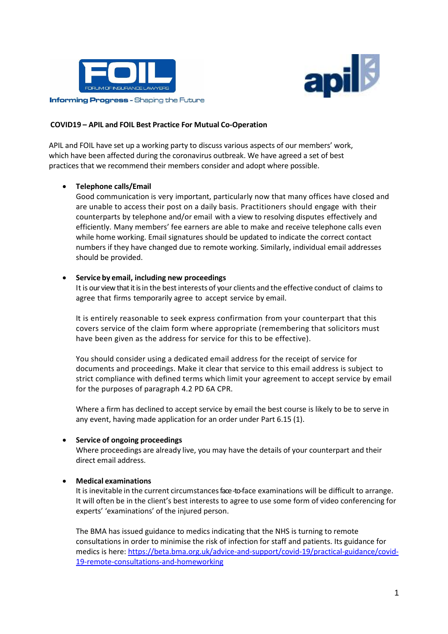



### **COVID19 – APIL and FOIL Best Practice For Mutual Co-Operation**

APIL and FOIL have set up a working party to discuss various aspects of our members' work, which have been affected during the coronavirus outbreak. We have agreed a set of best practices that we recommend their members consider and adopt where possible.

## • **Telephone calls/Email**

Good communication is very important, particularly now that many offices have closed and are unable to access their post on a daily basis. Practitioners should engage with their counterparts by telephone and/or email with a view to resolving disputes effectively and efficiently. Many members' fee earners are able to make and receive telephone calls even while home working. Email signatures should be updated to indicate the correct contact numbers if they have changed due to remote working. Similarly, individual email addresses should be provided.

### • **Service by email, including new proceedings**

It is our view that it is in the best interests of your clients and the effective conduct of claims to agree that firms temporarily agree to accept service by email.

It is entirely reasonable to seek express confirmation from your counterpart that this covers service of the claim form where appropriate (remembering that solicitors must have been given as the address for service for this to be effective).

You should consider using a dedicated email address for the receipt of service for documents and proceedings. Make it clear that service to this email address is subject to strict compliance with defined terms which limit your agreement to accept service by email for the purposes of paragraph 4.2 PD 6A CPR.

Where a firm has declined to accept service by email the best course is likely to be to serve in any event, having made application for an order under Part 6.15 (1).

### • **Service of ongoing proceedings**

Where proceedings are already live, you may have the details of your counterpart and their direct email address.

# • **Medical examinations**

It is inevitable in the current circumstancesface -to-face examinations will be difficult to arrange. It will often be in the client's best interests to agree to use some form of video conferencing for experts' 'examinations' of the injured person.

The BMA has issued guidance to medics indicating that the NHS is turning to remote consultations in order to minimise the risk of infection for staff and patients. Its guidance for medics is here: [https://beta.bma.org.uk/advice-and-support/covid-19/practical-guidance/covid-](https://beta.bma.org.uk/advice-and-support/covid-19/practical-guidance/covid-19-remote-consultations-and-homeworking)[19-remote-consultations-and-homeworking](https://beta.bma.org.uk/advice-and-support/covid-19/practical-guidance/covid-19-remote-consultations-and-homeworking)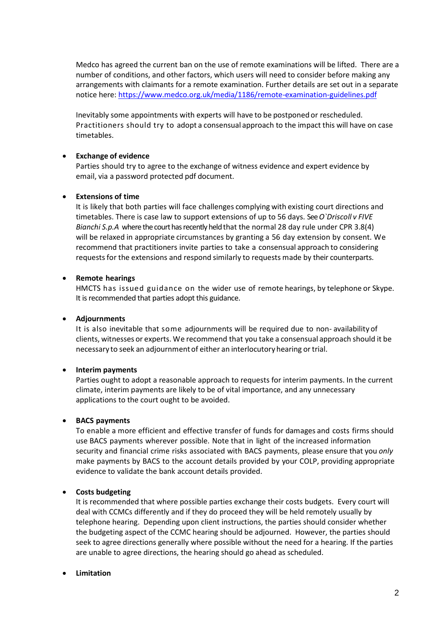Medco has agreed the current ban on the use of remote examinations will be lifted. There are a number of conditions, and other factors, which users will need to consider before making any arrangements with claimants for a remote examination. Further details are set out in a separate notice here[: https://www.medco.org.uk/media/1186/remote-examination-guidelines.pdf](https://www.medco.org.uk/media/1186/remote-examination-guidelines.pdf)

Inevitably some appointments with experts will have to be postponed or rescheduled. Practitioners should try to adopt a consensual approach to the impact this will have on case timetables.

## • **Exchange of evidence**

Parties should try to agree to the exchange of witness evidence and expert evidence by email, via a password protected pdf document.

## • **Extensions of time**

It is likely that both parties will face challenges complying with existing court directions and timetables. There is case law to support extensions of up to 56 days. See*O`Driscoll v FIVE Bianchi S.p.A* where the court has recently held that the normal 28 day rule under CPR 3.8(4) will be relaxed in appropriate circumstances by granting a 56 day extension by consent. We recommend that practitioners invite parties to take a consensual approach to considering requestsfor the extensions and respond similarly to requests made by their counterparts.

## • **Remote hearings**

HMCTS has issued guidance on the wider use of remote hearings, by telephone or Skype. It is recommended that parties adopt this guidance.

### • **Adjournments**

It is also inevitable that some adjournments will be required due to non- availability of clients, witnesses or experts. We recommend that you take a consensual approach should it be necessary to seek an adjournment of either an interlocutory hearing ortrial.

# • **Interim payments**

Parties ought to adopt a reasonable approach to requests for interim payments. In the current climate, interim payments are likely to be of vital importance, and any unnecessary applications to the court ought to be avoided.

### • **BACS payments**

To enable a more efficient and effective transfer of funds for damages and costs firms should use BACS payments wherever possible. Note that in light of the increased information security and financial crime risks associated with BACS payments, please ensure that you *only* make payments by BACS to the account details provided by your COLP, providing appropriate evidence to validate the bank account details provided.

# • **Costs budgeting**

It is recommended that where possible parties exchange their costs budgets. Every court will deal with CCMCs differently and if they do proceed they will be held remotely usually by telephone hearing. Depending upon client instructions, the parties should consider whether the budgeting aspect of the CCMC hearing should be adjourned. However, the parties should seek to agree directions generally where possible without the need for a hearing. If the parties are unable to agree directions, the hearing should go ahead as scheduled.

# • **Limitation**